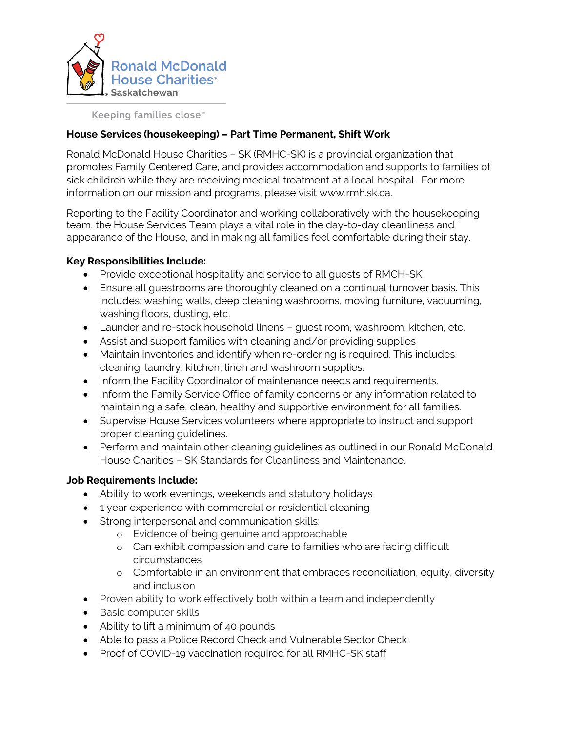

Keeping families close™

## **House Services (housekeeping) – Part Time Permanent, Shift Work**

Ronald McDonald House Charities – SK (RMHC-SK) is a provincial organization that promotes Family Centered Care, and provides accommodation and supports to families of sick children while they are receiving medical treatment at a local hospital. For more information on our mission and programs, please visit www.rmh.sk.ca.

Reporting to the Facility Coordinator and working collaboratively with the housekeeping team, the House Services Team plays a vital role in the day-to-day cleanliness and appearance of the House, and in making all families feel comfortable during their stay.

## **Key Responsibilities Include:**

- Provide exceptional hospitality and service to all guests of RMCH-SK
- Ensure all guestrooms are thoroughly cleaned on a continual turnover basis. This includes: washing walls, deep cleaning washrooms, moving furniture, vacuuming, washing floors, dusting, etc.
- Launder and re-stock household linens guest room, washroom, kitchen, etc.
- Assist and support families with cleaning and/or providing supplies
- Maintain inventories and identify when re-ordering is required. This includes: cleaning, laundry, kitchen, linen and washroom supplies.
- Inform the Facility Coordinator of maintenance needs and requirements.
- Inform the Family Service Office of family concerns or any information related to maintaining a safe, clean, healthy and supportive environment for all families.
- Supervise House Services volunteers where appropriate to instruct and support proper cleaning guidelines.
- Perform and maintain other cleaning guidelines as outlined in our Ronald McDonald House Charities – SK Standards for Cleanliness and Maintenance.

## **Job Requirements Include:**

- Ability to work evenings, weekends and statutory holidays
- 1 year experience with commercial or residential cleaning
- Strong interpersonal and communication skills:
	- o Evidence of being genuine and approachable
	- o Can exhibit compassion and care to families who are facing difficult circumstances
	- o Comfortable in an environment that embraces reconciliation, equity, diversity and inclusion
- Proven ability to work effectively both within a team and independently
- Basic computer skills
- Ability to lift a minimum of 40 pounds
- Able to pass a Police Record Check and Vulnerable Sector Check
- Proof of COVID-19 vaccination required for all RMHC-SK staff